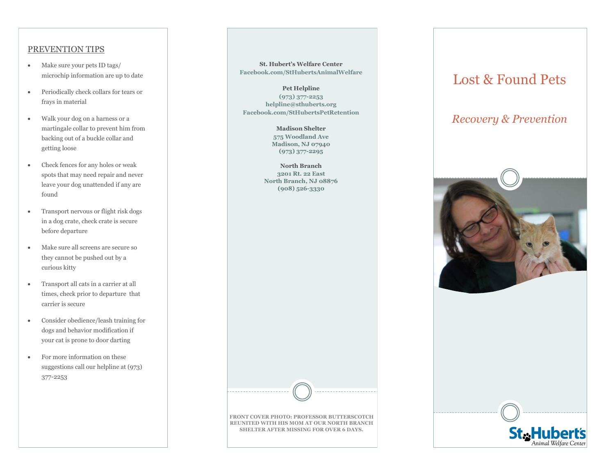#### PREVENTION TIPS

- Make sure your pets ID tags/ microchip information are up to date
- Periodically check collars for tears or frays in material
- Walk your dog on a harness or a martingale collar to prevent him from backing out of a buckle collar and getting loose
- Check fences for any holes or weak spots that may need repair and never leave your dog unattended if any are found
- Transport nervous or flight risk dogs in a dog crate, check crate is secure before departure
- Make sure all screens are secure so they cannot be pushed out by a curious kitty
- Transport all cats in a carrier at all times, check prior to departure that carrier is secure
- Consider obedience/leash training for dogs and behavior modification if your cat is prone to door darting
- For more information on these suggestions call our helpline at (973) 377-2253

#### **St. Hubert's Welfare Center Facebook.com/StHubertsAnimalWelfare**

**Pet Helpline (973) 377-2253 helpline@sthuberts.org Facebook.com/StHubertsPetRetention**

> **Madison Shelter 575 Woodland Ave Madison, NJ 07940 (973) 377-2295**

**North Branch 3201 Rt. 22 East North Branch, NJ 08876 (908) 526-3330**

# Lost & Found Pets

## *Recovery & Prevention*